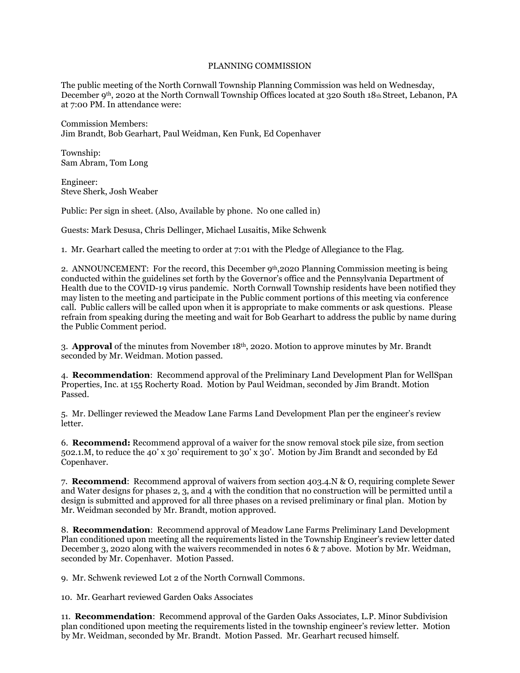## PLANNING COMMISSION

The public meeting of the North Cornwall Township Planning Commission was held on Wednesday, December 9th, 2020 at the North Cornwall Township Offices located at 320 South 18th Street, Lebanon, PA at 7:00 PM. In attendance were:

Commission Members: Jim Brandt, Bob Gearhart, Paul Weidman, Ken Funk, Ed Copenhaver

Township: Sam Abram, Tom Long

Engineer: Steve Sherk, Josh Weaber

Public: Per sign in sheet. (Also, Available by phone. No one called in)

Guests: Mark Desusa, Chris Dellinger, Michael Lusaitis, Mike Schwenk

1. Mr. Gearhart called the meeting to order at 7:01 with the Pledge of Allegiance to the Flag.

2. ANNOUNCEMENT: For the record, this December  $9<sup>th</sup>$ ,2020 Planning Commission meeting is being conducted within the guidelines set forth by the Governor's office and the Pennsylvania Department of Health due to the COVID-19 virus pandemic. North Cornwall Township residents have been notified they may listen to the meeting and participate in the Public comment portions of this meeting via conference call. Public callers will be called upon when it is appropriate to make comments or ask questions. Please refrain from speaking during the meeting and wait for Bob Gearhart to address the public by name during the Public Comment period.

3. **Approval** of the minutes from November 18th, 2020. Motion to approve minutes by Mr. Brandt seconded by Mr. Weidman. Motion passed.

4. **Recommendation**: Recommend approval of the Preliminary Land Development Plan for WellSpan Properties, Inc. at 155 Rocherty Road. Motion by Paul Weidman, seconded by Jim Brandt. Motion Passed.

5. Mr. Dellinger reviewed the Meadow Lane Farms Land Development Plan per the engineer's review letter.

6. **Recommend:** Recommend approval of a waiver for the snow removal stock pile size, from section 502.1.M, to reduce the 40' x 30' requirement to 30' x 30'. Motion by Jim Brandt and seconded by Ed Copenhaver.

7. **Recommend**: Recommend approval of waivers from section 403.4.N & O, requiring complete Sewer and Water designs for phases 2, 3, and 4 with the condition that no construction will be permitted until a design is submitted and approved for all three phases on a revised preliminary or final plan. Motion by Mr. Weidman seconded by Mr. Brandt, motion approved.

8. **Recommendation**: Recommend approval of Meadow Lane Farms Preliminary Land Development Plan conditioned upon meeting all the requirements listed in the Township Engineer's review letter dated December 3, 2020 along with the waivers recommended in notes 6 & 7 above. Motion by Mr. Weidman, seconded by Mr. Copenhaver. Motion Passed.

9. Mr. Schwenk reviewed Lot 2 of the North Cornwall Commons.

10. Mr. Gearhart reviewed Garden Oaks Associates

11. **Recommendation**: Recommend approval of the Garden Oaks Associates, L.P. Minor Subdivision plan conditioned upon meeting the requirements listed in the township engineer's review letter. Motion by Mr. Weidman, seconded by Mr. Brandt. Motion Passed. Mr. Gearhart recused himself.